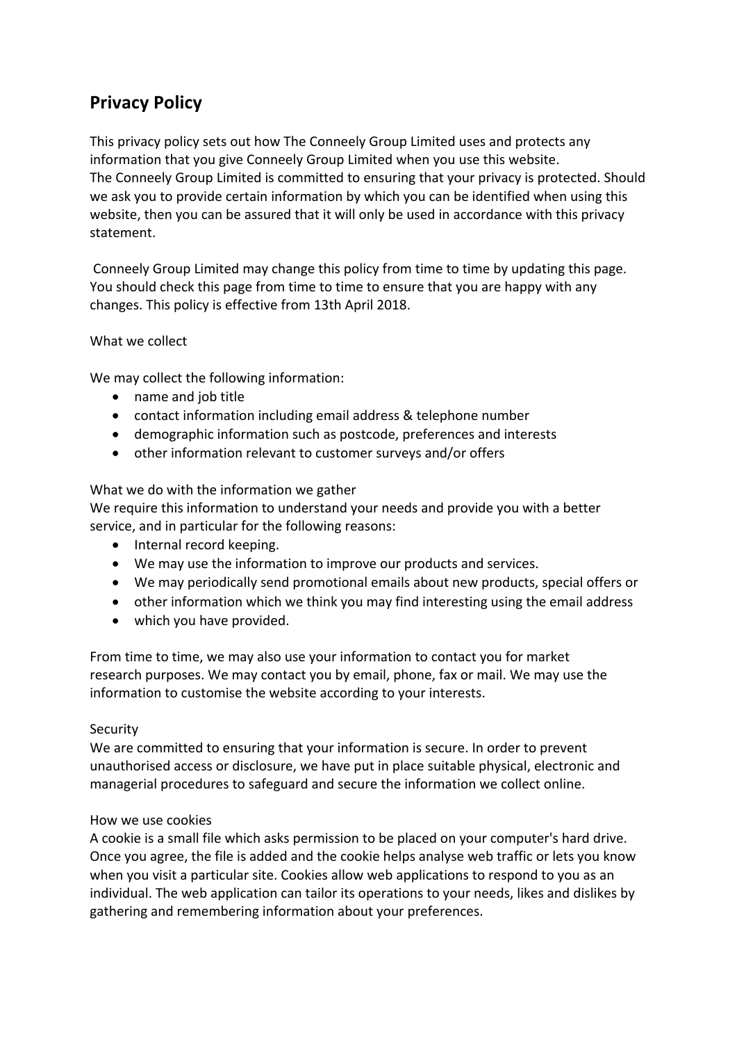# **Privacy Policy**

This privacy policy sets out how The Conneely Group Limited uses and protects any information that you give Conneely Group Limited when you use this website. The Conneely Group Limited is committed to ensuring that your privacy is protected. Should we ask you to provide certain information by which you can be identified when using this website, then you can be assured that it will only be used in accordance with this privacy statement.

Conneely Group Limited may change this policy from time to time by updating this page. You should check this page from time to time to ensure that you are happy with any changes. This policy is effective from 13th April 2018.

## What we collect

We may collect the following information:

- name and job title
- contact information including email address & telephone number
- demographic information such as postcode, preferences and interests
- other information relevant to customer surveys and/or offers

### What we do with the information we gather

We require this information to understand your needs and provide you with a better service, and in particular for the following reasons:

- Internal record keeping.
- We may use the information to improve our products and services.
- We may periodically send promotional emails about new products, special offers or
- $\bullet$  other information which we think you may find interesting using the email address
- which you have provided.

From time to time, we may also use your information to contact you for market research purposes. We may contact you by email, phone, fax or mail. We may use the information to customise the website according to your interests.

### Security

We are committed to ensuring that your information is secure. In order to prevent unauthorised access or disclosure, we have put in place suitable physical, electronic and managerial procedures to safeguard and secure the information we collect online.

### How we use cookies

A cookie is a small file which asks permission to be placed on your computer's hard drive. Once you agree, the file is added and the cookie helps analyse web traffic or lets you know when you visit a particular site. Cookies allow web applications to respond to you as an individual. The web application can tailor its operations to your needs, likes and dislikes by gathering and remembering information about your preferences.